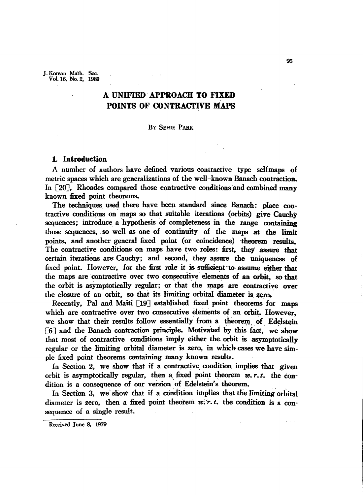J. Korean Math. Soc. Vol. 16, No.2, 1980

# A UNIFIED· APPROACH TO FIXED POINTS OF CONTRACTIVE MAPS

### By SEHIE PARK

# 1. Introduction

A number of authors have defined various contractive type selfmaps of metric spaces which are generalizations of the well-known Banach contraction. In [20]. Rhoades compared those contractive conditions and combined many known fixed point theorems.

The techniques used there have been standard since Banach: place contractive conditions on maps so that suitable iterations (orbits) give Cauchy sequences; introduce a hypothesis of completeness in the range containing those sequences, .so well as one of continuity of the maps at the limit points, and another general fixed point (or coincidence} theorem reswts.. The contractive conditions on maps have two roles: first, they assure that certain iterations are Cauchy; and second, they assure the uniqueness of fixed point. However, for the first role it is sufficient to assume either that the maps are contractive over two consecutive elements of an orbit, so that the orbit is asymptotically regular; or that the maps are contractive over the closure of an orbit, so that its limiting orbital diameter is zero.

Recently, Pal and Maiti [19] established fixed point theorems for maps which are contractive over two consecutive elements of an orbit. However, we show that their results follow essentially from a theorem of Edelstein  $[6]$  and the Banach contraction principle. Motivated by this fact, we show that most of contractive conditions imply either. the orbit is asymptotically regular or the limiting orbital diameter is zero, in which cases we have simple fixed point theorems containing many known results.

In Section 2, we show that if a contractive condition implies that given orbit is asymptotically regular, then a fixed point theorem  $w, r, t$ , the condition is a consequence of our version of Edelstein's theorem.

In Section 3, we show that if a condition implies that the limiting orbital diameter is zero, then a fixed point theorem  $w.r.t.$  the condition is a consequence of a single result.

 $\mathbb{R}^2 \times \mathbb{R}^2$ 

Received June 8, 1979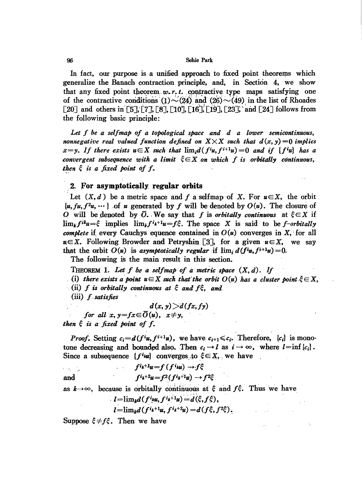#### Sehie Park

In fact, our purpose is a unified approach to fixed point theorems which generalize the Banach contraction principle, and, in Section 4, we show that any fixed point theorem,  $w, r, t$ , contractive type maps satisfying one of the contractive conditions  $(1) \sim (24)$  and  $(26) \sim (49)$  in the list of Rhoades [20] and others in [5], [7], [8], [10], [16], [19], [23], 'and [24] follows from the following basic principle:

*Let f be a selfmap of a topological space and d a lower semicontinuous, nonnegative* real valued function defined on  $X \times X$  such that  $d(x, y) = 0$  implies  $x = y$ . If there exists  $u \in X$  such that  $\lim_{x \to 0} d(f^i u, f^{i+1} u) = 0$  and if  $\{f^i u\}$  has a convergent subsequence with a limit  $\xi{\in}X$  on which f is orbitally continuous,<br>then  $\xi$  is a fixed point of f.

## 2. For asymptotically regular orbits

Let  $(X, d)$  be a metric space and f a selfmap of X. For  $u \in X$ , the orbit  $\{u, fu, f^2u, \dots\}$  of u generated by f will be denoted by  $O(u)$ . The closure of O will be denoted by  $\overline{O}$ . We say that f is orbitally continuous at  $\xi \in X$  if  $\lim_{k} f^{ik}u = \xi$  implies  $\lim_{k} f^{i}u = f\xi$ . The space X is said to be f-orbitally complete if every Cauchys equence contained in  $O(u)$  converges in X, for all  $u \in X$ . Following Browder and Petryshin [3], for a given  $u \in X$ , we say that the orbit  $O(u)$  is asymptotically regular if  $\lim_{t \to 0} d(f^i u, f^{i+1} u) = 0$ .

The following is the main result in this section.

THEOREM 1. Let f be a selfmap of a metric space  $(X, d)$ . If

(i) there exists a point  $u \in X$  such that the orbit  $O(u)$  has a cluster point  $\xi \in X$ .

(ii) f is orbitally continuous at  $\xi$  and  $f\xi$ , and

 $(iii)$  f satisfies

$$
d(x, y) > d(fx, fy)
$$

for all  $x, y=fx \in \overline{O}(u), x \neq y,$ then  $\xi$  is a fixed point of f.

*Proof.* Setting  $c_i = d(f^{i}u, f^{i+1}u)$ , we have  $c_{i+1} \leq c_i$ . Therefore,  $\{c_i\}$  is monotone decreasing and bounded also. Then  $c_i \rightarrow l$  as  $i \rightarrow \infty$ , where  $l=\inf \{c_i\}$ . Since a subsequence  $\{f^{i}u\}$  converges to  $\xi \in X$ , we have

and 
$$
f^{i_k+1}u = f(f^{i_k}u) \rightarrow f\xi
$$

$$
f^{i_k+2}u = f^2(f^{i_k+1}u) \rightarrow f^2\xi
$$

as  $k \rightarrow \infty$ , because is orbitally continuous at  $\xi$  and  $f \xi$ . Thus we have

$$
l=\lim_{k}d(f^{i}u,f^{i}u^{+1}u)=d(\xi,f\xi),
$$

$$
l = \lim_{k} d(f^{i_k+1}u, f^{i_k+2}u) = d(f\xi, f^2\xi).
$$

Suppose  $\xi \neq f \xi$ . Then we have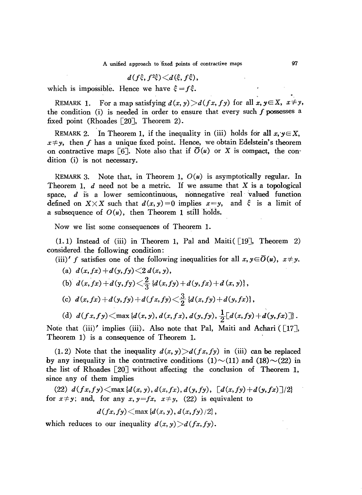$$
d(f\xi, f^2\xi) \triangleleft d(\xi, f\xi),
$$

which is impossible. Hence we have  $\xi = f \xi$ .

REMARK 1. For a map satisfying  $d(x, y) > d(fx, fy)$  for all  $x, y \in X$ ,  $x \neq y$ , the condition (i) is needed in order to ensure that every such  $f$  possesses a fixed point (Rhoades [20J, Theorem 2).

REMARK 2. In Theorem 1, if the inequality in (iii) holds for all  $x, y \in X$ ,  $x \neq y$ , then *f* has a unique fixed point. Hence, we obtain Edelstein's theorem on contractive maps [6]. Note also that if  $\overline{O}(u)$  or X is compact, the condition (i) is not necessary.

REMARK 3. Note that, in Theorem 1,  $O(u)$  is asymptotically regular. In Theorem 1,  $d$  need not be a metric. If we assume that  $X$  is a topological space,  $d$  is a lower semicontinuous, nonnegative real valued function defined on  $X \times X$  such that  $d(x, y) = 0$  implies  $x = y$ , and  $\xi$  is a limit of a subsequence of  $O(u)$ , then Theorem 1 still holds.

Now we list some consequences of Theorem 1.

 $(1.1)$  Instead of (iii) in Theorem 1, Pal and Maiti([19], Theorem 2) considered the following condition:

(iii)' *f* satisfies one of the following inequalities for all  $x, y \in \overline{O}(u)$ ,  $x \neq y$ .

(a) 
$$
d(x, fx) + d(y, fy) \le 2 d(x, y)
$$
,  
\n(b)  $d(x, fx) + d(y, fy) \le \frac{2}{3} {d(x, fy) + d(y, fx) + d(x, y)}$ ,  
\n(c)  $d(x, fx) + d(y, fy) + d(fx, fy) \le \frac{3}{2} {d(x, fy) + d(y, fx)}$ ,  
\n(d)  $d(fx, fy) \le \max{d(x, y), d(x, fx), d(y, fy), \frac{1}{2}[d(x, fy) + d(y, fx)]}$ .

Note that (iii)' implies (iii). Also note that Pal, Maiti and Achari ( $[17]$ , Theorem 1) is a consequence of Theorem 1.

(1. 2) Note that the inequality  $d(x, y) > d(fx, fy)$  in (iii) can be replaced by any inequality in the contractive conditions  $(1) \sim (11)$  and  $(18) \sim (22)$  in the list of Rhoades [20J without affecting the conclusion of Theorem 1, since any of them implies

 $(22)$   $d(fx, fy) \leq max \{d(x, y), d(x, fx), d(y, fy), [d(x, fy) + d(y, fx)]/2\}$ for  $x \neq y$ ; and, for any  $x, y = fx$ ,  $x \neq y$ , (22) is equivalent to

$$
d(fx, fy) \leq \max \left\{d(x, y), d(x, fy)/2\right\},\
$$

which reduces to our inequality  $d(x, y) > d(fx, fy)$ .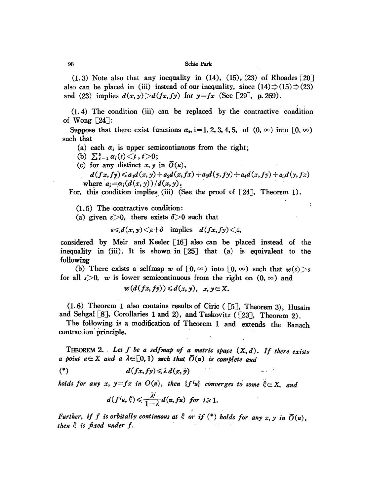#### 98 Sehie Park

 $(1.3)$  Note also that any inequality in  $(14)$ ,  $(15)$ ,  $(23)$  of Rhoades  $\lceil 20 \rceil$ also can be placed in (iii) instead of our inequality, since  $(14)\Rightarrow(15)\Rightarrow(23)$ and (23) implies  $d(x, y) > d(fx, fy)$  for  $y = fx$  (See [20], p. 269). :..

(1. 4) The condition (iii) can be replaced by the contractive condition of Wong  $[24]$ :

Suppose that there exist functions  $\alpha_i$ , i=1, 2, 3, 4, 5, of  $(0, \infty)$  into  $[0, \infty)$ such that

(a) each  $\alpha_i$  is upper semicontinuous from the right;

- (b)  $\sum_{i=1}^{5} \alpha_i(t) \leq t, t > 0;$
- (c) for any distinct  $x, y$  in  $\overline{O}(u)$ ,

 $d(fx, fy) \leq a_1 d(x, y) + a_2 d(x, fx) + a_3 d(y, fy) + a_4 d(x, fy) + a_5 d(y, fx)$ where  $a_i = \alpha_i(d(x, y))/d(x, y)$ .

For, this condition implies (iii) (See the proof of  $[24]$ , Theorem 1).

(1. 5) The contractive condition:

(a) given  $\varepsilon > 0$ , there exists  $\delta > 0$  such that

 $\varepsilon \le d(x, y) \le \varepsilon + \delta$  implies  $d(fx, fy) \le \varepsilon$ ,

considered by Meir and Keeler [16] also can be placed instead of the inequality in (iii). It is shown in  $[25]$  that (a) is equivalent to the following

(b) There exists a selfmap *w* of  $[0, \infty)$  into  $[0, \infty)$  such that  $w(s) > s$ for all  $s>0$ , w is lower semicontinuous from the right on  $(0, \infty)$  and

$$
w(d(fx, fy)) \leqslant d(x, y), x, y \in X.
$$

(1.6) Theorem 1 also contains results of Ciric ( $[5]$ , Theorem 3), Husain and Sehgal [8], Corollaries 1 and 2), and Taskovitz ([23], Theorem 2).

The following is a modification of Theorem 1 and extends the Banach contraction' principle.

THEOREM 2. Let  $f$  be a selfmap of a metric space  $(X, d)$ . If there exists *a point*  $u \in X$  *and a*  $\lambda \in [0, 1)$  *such that*  $\overline{O}(u)$  *is complete and* 

 $\frac{1}{2}$  ,  $\frac{1}{2}$ 

(\*)  $d(fx, fy) \leq \lambda d(x, y)$ 

*holds* for any *x*,  $y = fx$  *in*  $O(u)$ , *then*  ${f'u}$  *converges to some*  $\xi \in X$ , *and* 

$$
d(f^i u,\xi) \leqslant \frac{\lambda^i}{1-\lambda} d(u,f u) \ \ \text{for} \ \ i \geqslant 1.
$$

*Further, if f is orbitally continuous at*  $\xi$  *or if*  $(*)$  *holds for any x, y in*  $\overline{O}(u)$ , *then is fixed under f.*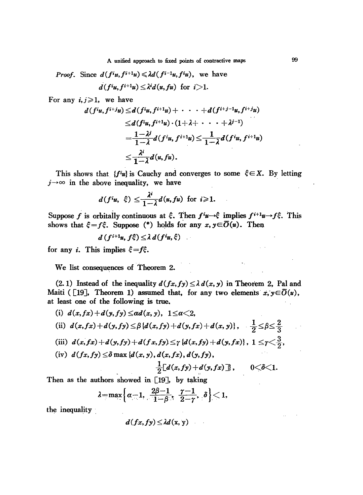*Proof.* Since  $d(f^{i}u, f^{i+1}u) \leq \lambda d(f^{i-1}u, f^{i}u)$ , we have  $d(f^i u, f^{i+1} u) \leq \lambda^i d(u, fu)$  for  $i>1$ .

For any  $i, j \geqslant 1$ , we have

$$
j \geq 1, \text{ we have}
$$
  
\n
$$
d(f^{i}u, f^{i+j}u) \leq d(f^{i}u, f^{i+1}u) + \cdots + d(f^{i+j-1}u, f^{i+j}u)
$$
  
\n
$$
\leq d(f^{i}u, f^{i+1}u) \cdot (1 + \lambda + \cdots + \lambda^{j-1})
$$
  
\n
$$
= \frac{1 - \lambda^{j}}{1 - \lambda} d(f^{i}u, f^{i+1}u) \leq \frac{1}{1 - \lambda} d(f^{i}u, f^{i+1}u)
$$
  
\n
$$
\leq \frac{\lambda^{i}}{1 - \lambda} d(u, fu).
$$

This shows that  ${f^i u}$  is Cauchy and converges to some  $\xi \in X$ . By letting  $j\rightarrow\infty$  in the above inequality, we have

$$
d(f^{i}u, \xi) \leq \frac{\lambda^{i}}{1-\lambda}d(u, fu) \text{ for } i \geq 1.
$$

Suppose *f* is orbitally continuous at  $\xi$ . Then  $f^i \nu \rightarrow \xi$  implies  $f^{i+1} \nu \rightarrow f \xi$ . This shows that  $\xi = f\xi$ . Suppose (\*) holds for any  $x, y \in \overline{O}(u)$ . Then

$$
d(f^{i+1}u, f\xi) \leq \lambda \, d(f^i u, \xi)
$$

for any *i*. This implies  $\xi = f\xi$ .

We list consequences of Theorem 2.

(2.1) Instead of the inequality  $d(fx, fy) \leq \lambda d(x, y)$  in Theorem 2, Pal and Maiti ([19], Theorem 1) assumed that, for any two elements  $x, y \in \overline{O}(u)$ , at least one of the following is true.

(i)  $d(x, fx) + d(y, fy) \leq \alpha d(x, y), \quad 1 \leq \alpha < 2,$ (ii)  $d(x, fx) + d(y, fy) \leq \beta \{d(x, fy) + d(y, fx) + d(x, y)\}, \quad \frac{1}{2} \leq \beta \leq \frac{2}{3}$ (iii)  $d(x, fx) + d(y, fy) + d(fx, fy) \leq \gamma \{d(x, fy) + d(y, fx)\}, 1 \leq \gamma \leq \frac{3}{2},$ (iv)  $d(fx, fy) \leq \delta \max\{d(x, y), d(x, fx), d(y, fy),$ 

$$
\frac{1}{2}[d(x, fy)+d(y, fx)]\}, \qquad 0<\delta<1.
$$

Then as the authors showed in [19], by taking

$$
\lambda=\max\Bigl\{\alpha-1,\ \frac{2\beta-1}{1-\beta},\ \frac{\gamma-1}{2-\gamma},\ \delta\Bigr\}<1,
$$

the inequality

 $d(fx, fy) \leq \lambda d(x, y)$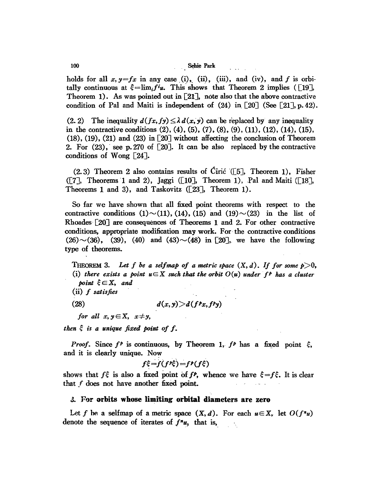### 100 Sehie Park

holds for all  $x, y = fx$  in any case (i), (ii), (iii), and (iv), and *f* is orbitally continuous at  $\xi = \lim_{i} f^{i}u$ . This shows that Theorem 2 implies ([19], Theorem 1). As was pointed out in [21J, note also that the above contractive condition of Pal and Maiti is independent of  $(24)$  in [20] (See [21], p. 42).

(2.2) The inequality  $d(fx, fy) \leq \lambda d(x, y)$  can be replaced by any inequality in the contractive conditions  $(2)$ ,  $(4)$ ,  $(5)$ ,  $(7)$ ,  $(8)$ ,  $(9)$ ,  $(11)$ ,  $(12)$ ,  $(14)$ ,  $(15)$ ,  $(18)$ ,  $(19)$ ,  $(21)$  and  $(23)$  in [20] without affecting the conclusion of Theorem 2. For  $(23)$ , see p.270 of  $[20]$ . It can be also replaced by the contractive conditions of Wong [24J.

(2.3) Theorem 2 also contains results of Ciric '([5J, Theorem 1), Fisher ([7], Theorems 1 and 2), Jaggi ([10], Theorem 1), Pal and Maiti ([18], Theorems 1 and 3), and Taskovitz  $([23]$ , Theorem 1).

So far we have shown that all fixed point theorems with respect to the contractive conditions  $(1) \sim (11)$ ,  $(14)$ ,  $(15)$  and  $(19) \sim (23)$  in the list of Rhoades' [20J are consequences of Theorems 1 and 2. For other contractive conditions, appropriate modification may work. For' the contractive conditions  $(26)$   $\sim$  (36), (39), (40) and (43)  $\sim$  (48) in [20], we have the following type of theorems.

THEOREM 3. Let f be a selfmap of a metric space  $(X, d)$ . If for some  $p > 0$ , (i) there exists a point  $u \in X$  such that the orbit  $O(u)$  under  $f^p$  has a cluster *point*  $\xi \in X$ , and

(ii) *f satisfies*

(28)  $d(x, y) > d(f^p x, f^p y)$ 

*for all*  $x, y \in X$ ,  $x \neq y$ ,

*then*  $\xi$  *is a unique fixed point of f.* 

*Proof.* Since  $f^p$  is continuous, by Theorem 1,  $f^p$  has a fixed point  $\xi$ , and it is clearly unique. Now

$$
f\xi = f(f^p\xi) = f^p(f\xi)
$$

shows that  $f\dot{\xi}$  is also a fixed point of  $f$ <sup>*P*</sup>, whence we have  $\xi = f\xi$ . It is clear that f does not have another fixed point.

### J. F-or **orbits whose limiting orbital diameters are zero**

Let *f* be a selfmap of a metric space  $(X, d)$ . For each  $u \in X$ , let  $O(f^nu)$ denote the sequence of iterates of  $f''u$ , that is,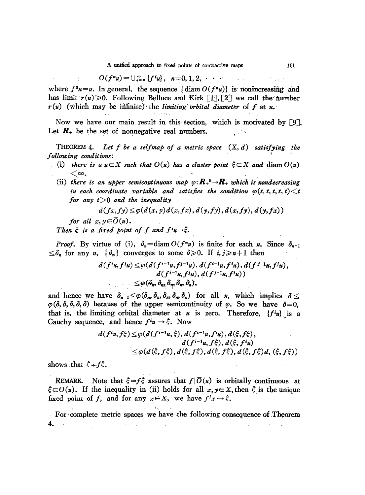$$
O(f^n u) = \bigcup_{i=n}^{\infty} \{f^i u\}, \ \ n=0, 1, 2, \cdots
$$

where  $f^0u=u$ . In general, the sequence {diam  $O(f^nu)$ } is nonincreasing and has limit  $r(u) \ge 0$ . Following Belluce and Kirk [1], [2] we call the number  $r(u)$  (which may be infinite) the *limiting* orbital diameter of  $f$  at  $u$ .

 $\sim$  .

Now we have our main result in this section, which is motivated by [9J. Let  $\mathbf{R}_+$  be the set of nonnegative real numbers. LG 18

THEOREM 4. *Let f be a selfmap of a metric space (X, d) satisfying the following conditions:* 

- . (i) there is a  $u \in X$  such that  $O(u)$  has a cluster point  $\xi \in X$  and  $\text{diam } O(u)$
- which may be infinite) the *limiting orbital* dia<br>we have our main result in this section, where the set of nonnegative real numbers.<br>DREM 4. Let f be a selfmap of a metric space<br>ng conditions:<br>there is a  $u \in X$  such that (ii) there is an upper semicontinuous map  $\varphi: \mathbb{R}_+^5 \to \mathbb{R}_+$  which is nondecreasing *in* each coordinate variable and satisfies the condition  $\varphi(t, t, t, t, t) \leq t$ *for any t>O and the inequality*

$$
d(fx, fy) \leq \varphi(d(x, y) d(x, fx), d(y, fy), d(x, fy), d(y, fx))
$$

*for all*  $x, y \in \overline{O}(u)$ .

*Then*  $\xi$  *is a fixed point of f and*  $f^{i}u\rightarrow\xi$ .

*Proof.* By virtue of (i),  $\delta_n = \text{diam } O(f^n u)$  is finite for each *n*. Since  $\delta_{n+1}$  $\leq \delta_n$  for any *n*,  $\{\delta_n\}$  converges to some  $\delta \geq 0$ . If  $i, j \geq n+1$  then

$$
d(f^{i}u, f^{j}u) \leq \varphi(d(f^{i-1}u, f^{j-1}u), d(f^{i-1}u, f^{i}u), d(f^{j-1}u, f^{j}u),
$$
  
\n
$$
d(f^{i-1}u, f^{j}u), d(f^{j-1}u, f^{i}u))
$$
  
\n
$$
\leq \varphi(\hat{\sigma}_n, \hat{\sigma}_n, \hat{\sigma}_n, \hat{\sigma}_n, \hat{\sigma}_n),
$$

and hence we have  $\delta_{n+1} \leq \varphi(\delta_n, \delta_n, \delta_n, \delta_n, \delta_n)$  for all *n*, which implies  $\delta \leq$  $\varphi$ ( $\delta$ ,  $\delta$ ,  $\delta$ ,  $\delta$ ) because of the upper semicontinuity of  $\varphi$ . So we have  $\delta = 0$ , that is, the limiting orbital diameter at  $u$  is zero. Therefore,  $\{f^i u\}$  is a Cauchy sequence, and hence  $f^i u \rightarrow \xi$ . Now

$$
d(f^{i}u, f\xi) \leq \varphi(d(f^{i-1}u, \xi), d(f^{i-1}u, f^{i}u), d(\xi, f\xi),
$$
  
\n
$$
d(f^{i-1}u, f\xi), d(\xi, f^{i}u)
$$
  
\n
$$
\leq \varphi(d(\xi, f\xi), d(\xi, f\xi), d(\xi, f\xi), d(\xi, f\xi))
$$

shows that  $\xi = f\xi$ .

REMARK. Note that  $\xi = f \xi$  assures that  $f|\overline{O}(u)$  is orbitally continuous at  $\xi \in O(u)$ . If the inequality in (ii) holds for all  $x, y \in X$ , then  $\xi$  is the unique fixed point of *f*, and for any  $x \in X$ , we have  $f^i x \to \xi$ .

For complete metric spaces we have the following consequence of Theorem 4.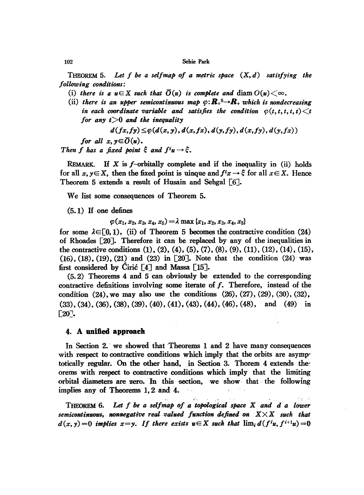THEOREM 5. Let f be a selfmap of a metric space  $(X, d)$  satisfying the *following conditions:*

- (i) there is a  $u \in X$  such that  $\overline{O}(u)$  is complete and diam  $O(u) < \infty$ .
- (ii) there is an upper semicontinuous map  $\varphi: \mathbb{R}_+ \rightarrow \mathbb{R}_+$  which is nondecreasing *in* each coordinate variable and satisfies the condition  $\phi(t, t, t, t, t) < t$ *for any t>O and the inequality*

$$
d(fx, fy) \leq \varphi(d(x, y), d(x, fx), d(y, fy), d(x, fy), d(y, fx))
$$

*for all*  $x, y \in \overline{O}(u)$ .

*Then f has a fixed point*  $\xi$  *and*  $f^{i}u \rightarrow \xi$ .

REMARK. If  $X$  is f-orbitally complete and if the inequality in (ii) holds for all  $x, y \in X$ , then the fixed point is uinque and  $f^i x \to \xi$  for all  $x \in X$ . Hence Theorem 5 extends 'a result of Husain and Sehgal [6J.

We list some consequences of Theorem 5.

(5.1) If· one defines

$$
\varphi(x_1, x_2, x_3, x_4, x_5) = \lambda \max\{x_1, x_2, x_3, x_4, x_5\}
$$

for some  $\lambda \in [0, 1)$ , (ii) of Theorem 5 becomes the contractive condition (24) of Rhoades [2OJ. Therefore it can be replaced by any of the inequalities in the contractive conditions (1), (2), (4), (5), (7), (8), (9), (11), (12), (14), (15),  $(16)$ ,  $(18)$ ,  $(19)$ ,  $(21)$  and  $(23)$  in [20]. Note that the condition  $(24)$  was first considered by Ciric  $\lceil 4 \rceil$  and Massa  $\lceil 15 \rceil$ .

(5. 2) Theorems 4 and 5 can obviously be extended to the corresponding contractive definitions involving some iterate of f. Therefore, instead of the condition  $(24)$ , we may also use the conditions  $(26)$ ,  $(27)$ ,  $(29)$ ,  $(30)$ ,  $(32)$ ,  $(33), (34), (36), (38), (39), (40), (41), (43), (44), (46), (48),$  and  $(49)$  in  $[20]$ .

### 4. **A unified. approach**

In Section 2. we showed that Theorems 1 and 2 have many consequences with respect to contractive conditions which imply that the orbits are asymptotically regular. On the other hand, in Section 3. Thorem  $4$  extends the $\cdot$ orems with respect to contractive conditions which imply that the limiting orbital diameters are zero. In this section, we show that the following implies any of Theorems 1, 2 and 4.

THEOREM 6. Let  $f$  be a selfmap of a topological space  $X$  and  $d$   $a$  lower *semicontinuous, nonnegative real.valued function defined on XXX such that*  $d(x, y) = 0$  *implies*  $x = y$ . If there exists  $u \in X$  such that  $\lim_i d(f^i u, f^{i+1} u) = 0$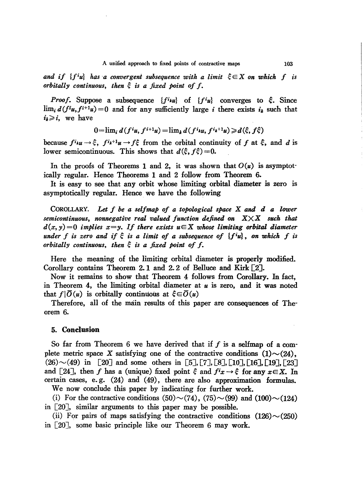*and* if  ${f^i u}$  *has a* convergent subsequence with a limit  $\xi \in X$  on which f is *orbitally continuous, then is a fixed point 01 I.*

*Proof.* Suppose a subsequence  ${f^{i}}u$  of  ${f^{i}}u$  converges to  $\xi$ . Since  $\lim_i d(f^i u, f^{i+1} u) = 0$  and for any sufficiently large *i* there exists  $i_k$  such that  $i_k \geq i$ , we have

$$
0=\lim_i d(f^i u, f^{i+1} u)=\lim_k d(f^i u, f^{i_k+1} u)\geq d(\xi, f\xi)
$$

because  $f^{i} \mu u \rightarrow \xi$ ,  $f^{i} \mu^{+1} u \rightarrow f \xi$  from the orbital continuity of f at  $\xi$ , and d is lower semicontinuous. This shows that  $d(\xi, f\xi) = 0$ .

In the proofs of Theorems 1 and 2, it was shown that  $O(u)$  is asymptotically regular. Hence Theorems 1 and 2 follow from Theorem 6.

It is easy to see that any orbit whose limiting orbital diameter is zero is asymptotically regular. Hence we have the following

COROLLARY. *Let* I *be a sellmap 01 a topological space* X *and d* a *lower semicontinuous, nonnegative real valued lunction defined* on. *XXX such that*  $d(x, y) = 0$  *implies*  $x = y$ . If there exists  $u \in X$  whose limiting orbital diameter *under f* is zero and if  $\xi$  is a limit of a subsequence of  ${f^i u}$ , on which f is *orbitally continuous, then is* <sup>a</sup> *fixed point 01* I.

Here the meaning of the limiting orbital diameter is properly modified. Corollary contains Theorem 2. 1 and 2. 2 of Belluce and Kirk [2J.

Now it remains to show that Theorem 4 follows from Corollary. In fact, in Theorem 4, the limiting orbital diameter at *u* is zero, and it was noted that  $f|\overline{O}(u)$  is orbitally continuous at  $\xi \in \overline{O}(u)$ 

Therefore, all of the main results of this paper are consequences of Theorem 6.

### 5. **Conclusion**

So far from Theorem 6 we have derived that if  $f$  is a selfmap of a complete metric space X satisfying one of the contractive conditions  $(1) \sim (24)$ ,  $(26) \sim (49)$  in [20] and some others in [5], [7], [8], [10], [16], [19], [23] and [24], then f has a (unique) fixed point  $\xi$  and  $f^i x \to \xi$  for any  $x \in X$ . In certain cases, e.g.  $(24)$  and  $(49)$ , there are also approximation formulas.

We now conclude this paper by indicating for further work. (i) For the contractive conditions (50) $\sim$ (74), (75) $\sim$ (99) and (100) $\sim$ (124)

in [20J, similar arguments to this paper may be possible.

(ii) For pairs of maps satisfying the contractive conditions  $(126) \sim (250)$ in [20J, some basic principle like our Theorem 6 may work.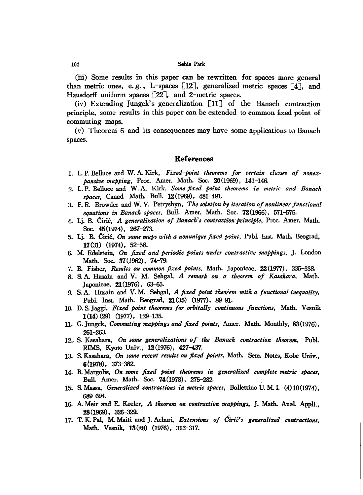#### 104 Sebie Park

(iii) Some results in this paper can be- rewritten -for spaces more general than metric ones, e.g., L-spaces  $[12]$ , generalized metric spaces  $[4]$ , and Hausdorff uniform spaces [22], and 2-metric spaces.

(iv) Extending Jungck's generalization  $\begin{bmatrix} 11 \end{bmatrix}$  of the Banach contraction principle, some results in this paper can be extended to common fixed point of commuting maps.

(v) Theorem: 6 and its consequences may have some applications to Banach spaces.

### **References**

- 1. L. P. Belluce and W. A. Kirk, *Fixed-point theorems for certain classes of nonex· pansive mapping,* Proc. Amer. Math. Soc. 20(1969), 141-146.
- 2. L. P. Belluce and W. A. Kirk, *Some fixed point theorems in metric and Banach spaces,* Canad. Math: Bull. 12(1969), 481-491.
- 3. F. E. Browder and W. V. Petryshyn, *The solution by iteration of nonlinear functional equations in Banach spaces,* Bull. Amer. Math. Soc. 72(1966), 571-575.
- 4. Lj. B. Ciric, *A generalization of Banach's contractionprinciple,-Proc.* Amer. Math. Soc. 45(1974), 267-273-
- 5. Lj. B. Ciric, *On some maps with a nonunique fixed point,* Publ. lnst. Math. Beograd, 17(31) (1974), 52-58.
- 6. M Edelstein, *On fixed and periodic points under contractive mappings,* J. London Math. Soc. 37(1962), 74-79.
- 7. B. Fisher, *Results on common fixed points,* Math. Japonicae, 22(1977), 335-338-
- 8. S. A. Husain and V. M Sehgal, *A remark on a theorem of Kasahara,* Math. Japonicae, **21**(1976), 63-65.
- 9. S. A. Husain and V. M Sehgal, *A fixed point theoi'em with a functional inequality,* Publ. lnst. Math. Beograd, 21 (35) (1977), 89-91.
- 10. D. S. Jaggi, *Fixed point theorems for orbitally continuous functions,* Math. Vesnik 1(14) (29) (1977), 129-135.
- 11. G.Jungck, *Commuting mappings and fixed points,* Amer. Math. Monthly, 83(1976), 261-263-
- 12... S. Kasahara, *On some generalizations of the Banach contraction theorem,* Publ. RIMS, Kyoto Univ., 12 (1976), 427-437.
- 13- S. Kasahara, *On some recent results on fixed points,* Math. Sem. Notes, Kobe Univ., 6(1978), 373-382-
- 14. B. Margolis, *On some fixed point theorems in generalized complete metric spaces,* Bull. Amer. Math. Soc. 14(1978), 275-282-
- 15. S. Massa, *Generaliud contractions in metric spaces,* Bollettino U. M 1 (4)10(1974), 689-694-
- 16. A. Meir and E. Keeler, *A theorem on contraction mappings,* J. Math. Anal. Appli., 28(1969), 326-329.
- 17. T. K. Pal, M Maiti and J. Achari, *Extensions of Cirie's generalized contractions,* Math. Vesnik, 13(28) (1976), 313-317.